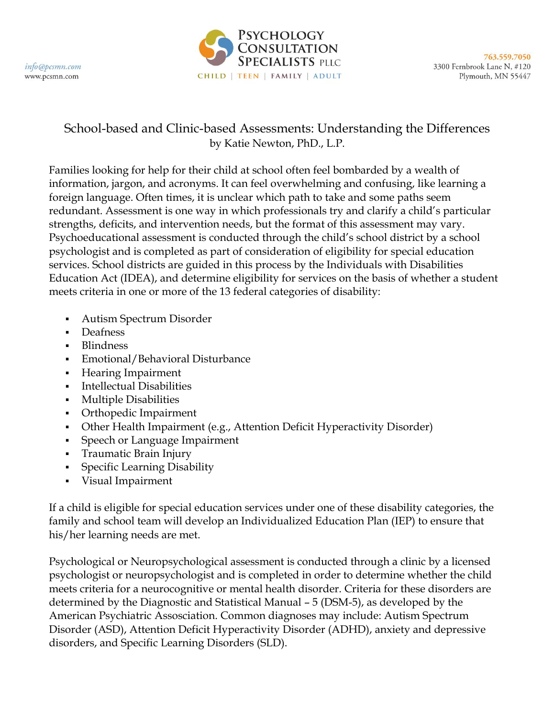

## School-based and Clinic-based Assessments: Understanding the Differences by Katie Newton, PhD., L.P.

Families looking for help for their child at school often feel bombarded by a wealth of information, jargon, and acronyms. It can feel overwhelming and confusing, like learning a foreign language. Often times, it is unclear which path to take and some paths seem redundant. Assessment is one way in which professionals try and clarify a child's particular strengths, deficits, and intervention needs, but the format of this assessment may vary. Psychoeducational assessment is conducted through the child's school district by a school psychologist and is completed as part of consideration of eligibility for special education services. School districts are guided in this process by the Individuals with Disabilities Education Act (IDEA), and determine eligibility for services on the basis of whether a student meets criteria in one or more of the 13 federal categories of disability:

- Autism Spectrum Disorder
- Deafness
- Blindness
- Emotional/Behavioral Disturbance
- **Hearing Impairment**
- Intellectual Disabilities
- Multiple Disabilities
- **Orthopedic Impairment**
- Other Health Impairment (e.g., Attention Deficit Hyperactivity Disorder)
- Speech or Language Impairment
- **Traumatic Brain Injury**
- **Specific Learning Disability**
- Visual Impairment

If a child is eligible for special education services under one of these disability categories, the family and school team will develop an Individualized Education Plan (IEP) to ensure that his/her learning needs are met.

Psychological or Neuropsychological assessment is conducted through a clinic by a licensed psychologist or neuropsychologist and is completed in order to determine whether the child meets criteria for a neurocognitive or mental health disorder. Criteria for these disorders are determined by the Diagnostic and Statistical Manual – 5 (DSM-5), as developed by the American Psychiatric Assosciation. Common diagnoses may include: Autism Spectrum Disorder (ASD), Attention Deficit Hyperactivity Disorder (ADHD), anxiety and depressive disorders, and Specific Learning Disorders (SLD).